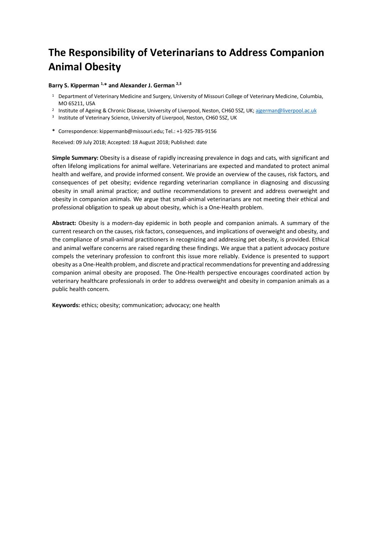# **The Responsibility of Veterinarians to Address Companion Animal Obesity**

# **Barry S. Kipperman 1, \* and Alexander J. German 2,3**

- <sup>1</sup> Department of Veterinary Medicine and Surgery, University of Missouri College of Veterinary Medicine, Columbia, MO 65211, USA
- <sup>2</sup> Institute of Ageing & Chronic Disease, University of Liverpool, Neston, CH60 5SZ, UK; ajgerman@liverpool.ac.uk
- <sup>3</sup> Institute of Veterinary Science, University of Liverpool, Neston, CH60 5SZ, UK
- **\*** Correspondence: kippermanb@missouri.edu; Tel.: +1-925-785-9156

Received: 09 July 2018; Accepted: 18 August 2018; Published: date

**Simple Summary:** Obesity is a disease of rapidly increasing prevalence in dogs and cats, with significant and often lifelong implications for animal welfare. Veterinarians are expected and mandated to protect animal health and welfare, and provide informed consent. We provide an overview of the causes, risk factors, and consequences of pet obesity; evidence regarding veterinarian compliance in diagnosing and discussing obesity in small animal practice; and outline recommendations to prevent and address overweight and obesity in companion animals. We argue that small-animal veterinarians are not meeting their ethical and professional obligation to speak up about obesity, which is a One-Health problem.

**Abstract:** Obesity is a modern-day epidemic in both people and companion animals. A summary of the current research on the causes, risk factors, consequences, and implications of overweight and obesity, and the compliance of small-animal practitioners in recognizing and addressing pet obesity, is provided. Ethical and animal welfare concerns are raised regarding these findings. We argue that a patient advocacy posture compels the veterinary profession to confront this issue more reliably. Evidence is presented to support obesity as a One-Health problem, and discrete and practical recommendations for preventing and addressing companion animal obesity are proposed. The One-Health perspective encourages coordinated action by veterinary healthcare professionals in order to address overweight and obesity in companion animals as a public health concern.

**Keywords:** ethics; obesity; communication; advocacy; one health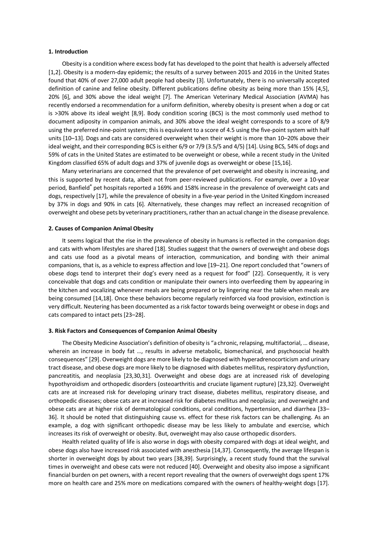## **1. Introduction**

Obesity is a condition where excess body fat has developed to the point that health is adversely affected [1,2]. Obesity is a modern-day epidemic; the results of a survey between 2015 and 2016 in the United States found that 40% of over 27,000 adult people had obesity [3]. Unfortunately, there is no universally accepted definition of canine and feline obesity. Different publications define obesity as being more than 15% [4,5], 20% [6], and 30% above the ideal weight [7]. The American Veterinary Medical Association (AVMA) has recently endorsed a recommendation for a uniform definition, whereby obesity is present when a dog or cat is >30% above its ideal weight [8,9]. Body condition scoring (BCS) is the most commonly used method to document adiposity in companion animals, and 30% above the ideal weight corresponds to a score of 8/9 using the preferred nine-point system; this is equivalent to a score of 4.5 using the five-point system with half units [10–13]. Dogs and cats are considered overweight when their weight is more than 10–20% above their ideal weight, and their corresponding BCS is either 6/9 or 7/9 (3.5/5 and 4/5) [14]. Using BCS, 54% of dogs and 59% of cats in the United States are estimated to be overweight or obese, while a recent study in the United Kingdom classified 65% of adult dogs and 37% of juvenile dogs as overweight or obese [15,16].

Many veterinarians are concerned that the prevalence of pet overweight and obesity is increasing, and this is supported by recent data, albeit not from peer-reviewed publications. For example, over a 10-year period, Banfield**®** pet hospitals reported a 169% and 158% increase in the prevalence of overweight cats and dogs, respectively [17], while the prevalence of obesity in a five-year period in the United Kingdom increased by 37% in dogs and 90% in cats [6]. Alternatively, these changes may reflect an increased recognition of overweight and obese pets by veterinary practitioners, rather than an actual change in the disease prevalence.

#### **2. Causes of Companion Animal Obesity**

It seems logical that the rise in the prevalence of obesity in humans is reflected in the companion dogs and cats with whom lifestyles are shared [18]. Studies suggest that the owners of overweight and obese dogs and cats use food as a pivotal means of interaction, communication, and bonding with their animal companions, that is, as a vehicle to express affection and love [19–21]. One report concluded that "owners of obese dogs tend to interpret their dog's every need as a request for food" [22]. Consequently, it is very conceivable that dogs and cats condition or manipulate their owners into overfeeding them by appearing in the kitchen and vocalizing whenever meals are being prepared or by lingering near the table when meals are being consumed [14,18]. Once these behaviors become regularly reinforced via food provision, extinction is very difficult. Neutering has been documented as a risk factor towards being overweight or obese in dogs and cats compared to intact pets [23–28].

#### **3. Risk Factors and Consequences of Companion Animal Obesity**

The Obesity Medicine Association's definition of obesity is "a chronic, relapsing, multifactorial, … disease, wherein an increase in body fat …, results in adverse metabolic, biomechanical, and psychosocial health consequences" [29]. Overweight dogs are more likely to be diagnosed with hyperadrenocorticism and urinary tract disease, and obese dogs are more likely to be diagnosed with diabetes mellitus, respiratory dysfunction, pancreatitis, and neoplasia [23,30,31]. Overweight and obese dogs are at increased risk of developing hypothyroidism and orthopedic disorders (osteoarthritis and cruciate ligament rupture) [23,32]. Overweight cats are at increased risk for developing urinary tract disease, diabetes mellitus, respiratory disease, and orthopedic diseases; obese cats are at increased risk for diabetes mellitus and neoplasia; and overweight and obese cats are at higher risk of dermatological conditions, oral conditions, hypertension, and diarrhea [33– 36]. It should be noted that distinguishing cause vs. effect for these risk factors can be challenging. As an example, a dog with significant orthopedic disease may be less likely to ambulate and exercise, which increases its risk of overweight or obesity. But, overweight may also cause orthopedic disorders.

Health related quality of life is also worse in dogs with obesity compared with dogs at ideal weight, and obese dogs also have increased risk associated with anesthesia [14,37]. Consequently, the average lifespan is shorter in overweight dogs by about two years [38,39]. Surprisingly, a recent study found that the survival times in overweight and obese cats were not reduced [40]. Overweight and obesity also impose a significant financial burden on pet owners, with a recent report revealing that the owners of overweight dogs spent 17% more on health care and 25% more on medications compared with the owners of healthy-weight dogs [17].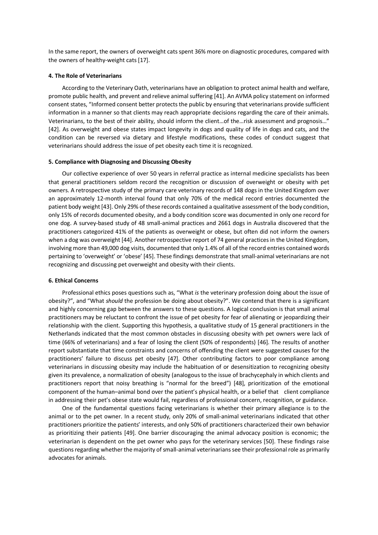In the same report, the owners of overweight cats spent 36% more on diagnostic procedures, compared with the owners of healthy-weight cats [17].

## **4. The Role of Veterinarians**

According to the Veterinary Oath, veterinarians have an obligation to protect animal health and welfare, promote public health, and prevent and relieve animal suffering [41]. An AVMA policy statement on informed consent states, "Informed consent better protects the public by ensuring that veterinarians provide sufficient information in a manner so that clients may reach appropriate decisions regarding the care of their animals. Veterinarians, to the best of their ability, should inform the client…of the…risk assessment and prognosis…" [42]. As overweight and obese states impact longevity in dogs and quality of life in dogs and cats, and the condition can be reversed via dietary and lifestyle modifications, these codes of conduct suggest that veterinarians should address the issue of pet obesity each time it is recognized.

# **5. Compliance with Diagnosing and Discussing Obesity**

Our collective experience of over 50 years in referral practice as internal medicine specialists has been that general practitioners seldom record the recognition or discussion of overweight or obesity with pet owners. A retrospective study of the primary care veterinary records of 148 dogs in the United Kingdom over an approximately 12-month interval found that only 70% of the medical record entries documented the patient body weight [43]. Only 29% of these records contained a qualitative assessment of the body condition, only 15% of records documented obesity, and a body condition score was documented in only one record for one dog. A survey-based study of 48 small-animal practices and 2661 dogs in Australia discovered that the practitioners categorized 41% of the patients as overweight or obese, but often did not inform the owners when a dog was overweight [44]. Another retrospective report of 74 general practices in the United Kingdom, involving more than 49,000 dog visits, documented that only 1.4% of all of the record entries contained words pertaining to 'overweight' or 'obese' [45]. These findings demonstrate that small-animal veterinarians are not recognizing and discussing pet overweight and obesity with their clients.

## **6. Ethical Concerns**

Professional ethics poses questions such as, "What *is* the veterinary profession doing about the issue of obesity?", and "What *should* the profession be doing about obesity?". We contend that there is a significant and highly concerning gap between the answers to these questions. A logical conclusion is that small animal practitioners may be reluctant to confront the issue of pet obesity for fear of alienating or jeopardizing their relationship with the client. Supporting this hypothesis, a qualitative study of 15 general practitioners in the Netherlands indicated that the most common obstacles in discussing obesity with pet owners were lack of time (66% of veterinarians) and a fear of losing the client (50% of respondents) [46]. The results of another report substantiate that time constraints and concerns of offending the client were suggested causes for the practitioners' failure to discuss pet obesity [47]. Other contributing factors to poor compliance among veterinarians in discussing obesity may include the habituation of or desensitization to recognizing obesity given its prevalence, a normalization of obesity (analogous to the issue of brachycephaly in which clients and practitioners report that noisy breathing is "normal for the breed") [48], prioritization of the emotional component of the human–animal bond over the patient's physical health, or a belief that client compliance in addressing their pet's obese state would fail, regardless of professional concern, recognition, or guidance.

One of the fundamental questions facing veterinarians is whether their primary allegiance is to the animal or to the pet owner. In a recent study, only 20% of small-animal veterinarians indicated that other practitioners prioritize the patients' interests, and only 50% of practitioners characterized their own behavior as prioritizing their patients [49]. One barrier discouraging the animal advocacy position is economic; the veterinarian is dependent on the pet owner who pays for the veterinary services [50]. These findings raise questions regarding whether the majority of small-animal veterinarians see their professional role as primarily advocates for animals.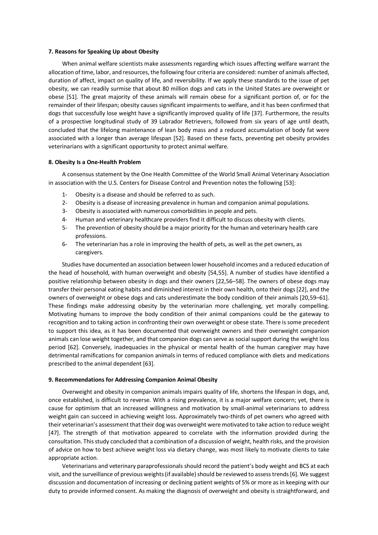#### **7. Reasons for Speaking Up about Obesity**

When animal welfare scientists make assessments regarding which issues affecting welfare warrant the allocation of time, labor, and resources, the following four criteria are considered: number of animals affected, duration of affect, impact on quality of life, and reversibility. If we apply these standards to the issue of pet obesity, we can readily surmise that about 80 million dogs and cats in the United States are overweight or obese [51]. The great majority of these animals will remain obese for a significant portion of, or for the remainder of their lifespan; obesity causes significant impairments to welfare, and it has been confirmed that dogs that successfully lose weight have a significantly improved quality of life [37]. Furthermore, the results of a prospective longitudinal study of 39 Labrador Retrievers, followed from six years of age until death, concluded that the lifelong maintenance of lean body mass and a reduced accumulation of body fat were associated with a longer than average lifespan [52]. Based on these facts, preventing pet obesity provides veterinarians with a significant opportunity to protect animal welfare.

#### **8. Obesity Is a One-Health Problem**

A consensus statement by the One Health Committee of the World Small Animal Veterinary Association in association with the U.S. Centers for Disease Control and Prevention notes the following [53]:

- 1- Obesity is a disease and should be referred to as such.
- 2- Obesity is a disease of increasing prevalence in human and companion animal populations.
- 3- Obesity is associated with numerous comorbidities in people and pets.
- 4- Human and veterinary healthcare providers find it difficult to discuss obesity with clients.
- 5- The prevention of obesity should be a major priority for the human and veterinary health care professions.
- 6- The veterinarian has a role in improving the health of pets, as well as the pet owners, as caregivers.

Studies have documented an association between lower household incomes and a reduced education of the head of household, with human overweight and obesity [54,55]. A number of studies have identified a positive relationship between obesity in dogs and their owners [22,56–58]. The owners of obese dogs may transfer their personal eating habits and diminished interest in their own health, onto their dogs [22], and the owners of overweight or obese dogs and cats underestimate the body condition of their animals [20,59–61]. These findings make addressing obesity by the veterinarian more challenging, yet morally compelling. Motivating humans to improve the body condition of their animal companions could be the gateway to recognition and to taking action in confronting their own overweight or obese state. There is some precedent to support this idea, as it has been documented that overweight owners and their overweight companion animals can lose weight together, and that companion dogs can serve as social support during the weight loss period [62]. Conversely, inadequacies in the physical or mental health of the human caregiver may have detrimental ramifications for companion animals in terms of reduced compliance with diets and medications prescribed to the animal dependent [63].

# **9. Recommendations for Addressing Companion Animal Obesity**

Overweight and obesity in companion animals impairs quality of life, shortens the lifespan in dogs, and, once established, is difficult to reverse. With a rising prevalence, it is a major welfare concern; yet, there is cause for optimism that an increased willingness and motivation by small-animal veterinarians to address weight gain can succeed in achieving weight loss. Approximately two-thirds of pet owners who agreed with their veterinarian's assessment that their dog was overweight were motivated to take action to reduce weight [47]. The strength of that motivation appeared to correlate with the information provided during the consultation. This study concluded that a combination of a discussion of weight, health risks, and the provision of advice on how to best achieve weight loss via dietary change, was most likely to motivate clients to take appropriate action.

Veterinarians and veterinary paraprofessionals should record the patient's body weight and BCS at each visit, and the surveillance of previous weights (if available) should be reviewed to assess trends [6]. We suggest discussion and documentation of increasing or declining patient weights of 5% or more as in keeping with our duty to provide informed consent. As making the diagnosis of overweight and obesity is straightforward, and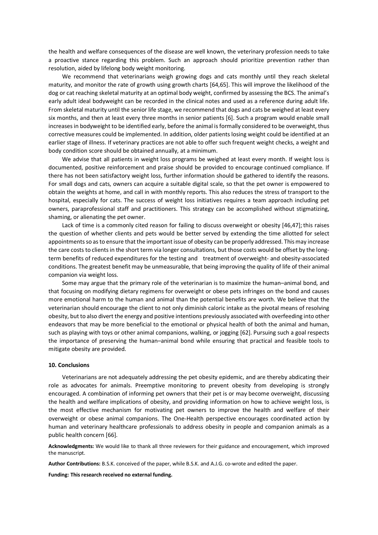the health and welfare consequences of the disease are well known, the veterinary profession needs to take a proactive stance regarding this problem. Such an approach should prioritize prevention rather than resolution, aided by lifelong body weight monitoring.

We recommend that veterinarians weigh growing dogs and cats monthly until they reach skeletal maturity, and monitor the rate of growth using growth charts [64,65]. This will improve the likelihood of the dog or cat reaching skeletal maturity at an optimal body weight, confirmed by assessing the BCS. The animal's early adult ideal bodyweight can be recorded in the clinical notes and used as a reference during adult life. From skeletal maturity until the senior life stage, we recommend that dogs and cats be weighed at least every six months, and then at least every three months in senior patients [6]. Such a program would enable small increases in bodyweight to be identified early, before the animal is formally considered to be overweight, thus corrective measures could be implemented. In addition, older patients losing weight could be identified at an earlier stage of illness. If veterinary practices are not able to offer such frequent weight checks, a weight and body condition score should be obtained annually, at a minimum.

We advise that all patients in weight loss programs be weighed at least every month. If weight loss is documented, positive reinforcement and praise should be provided to encourage continued compliance. If there has not been satisfactory weight loss, further information should be gathered to identify the reasons. For small dogs and cats, owners can acquire a suitable digital scale, so that the pet owner is empowered to obtain the weights at home, and call in with monthly reports. This also reduces the stress of transport to the hospital, especially for cats. The success of weight loss initiatives requires a team approach including pet owners, paraprofessional staff and practitioners. This strategy can be accomplished without stigmatizing, shaming, or alienating the pet owner.

Lack of time is a commonly cited reason for failing to discuss overweight or obesity [46,47]; this raises the question of whether clients and pets would be better served by extending the time allotted for select appointments so as to ensure that the important issue of obesity can be properly addressed. This may increase the care costs to clients in the short term via longer consultations, but those costs would be offset by the longterm benefits of reduced expenditures for the testing and treatment of overweight- and obesity-associated conditions. The greatest benefit may be unmeasurable, that being improving the quality of life of their animal companion via weight loss.

Some may argue that the primary role of the veterinarian is to maximize the human–animal bond, and that focusing on modifying dietary regimens for overweight or obese pets infringes on the bond and causes more emotional harm to the human and animal than the potential benefits are worth. We believe that the veterinarian should encourage the client to not only diminish caloric intake as the pivotal means of resolving obesity, but to also divert the energy and positive intentions previously associated with overfeeding into other endeavors that may be more beneficial to the emotional or physical health of both the animal and human, such as playing with toys or other animal companions, walking, or jogging [62]. Pursuing such a goal respects the importance of preserving the human–animal bond while ensuring that practical and feasible tools to mitigate obesity are provided.

#### **10. Conclusions**

Veterinarians are not adequately addressing the pet obesity epidemic, and are thereby abdicating their role as advocates for animals. Preemptive monitoring to prevent obesity from developing is strongly encouraged. A combination of informing pet owners that their pet is or may become overweight, discussing the health and welfare implications of obesity, and providing information on how to achieve weight loss, is the most effective mechanism for motivating pet owners to improve the health and welfare of their overweight or obese animal companions. The One-Health perspective encourages coordinated action by human and veterinary healthcare professionals to address obesity in people and companion animals as a public health concern [66].

**Acknowledgments:** We would like to thank all three reviewers for their guidance and encouragement, which improved the manuscript.

**Author Contributions:** B.S.K. conceived of the paper, while B.S.K. and A.J.G. co-wrote and edited the paper.

**Funding: This research received no external funding.**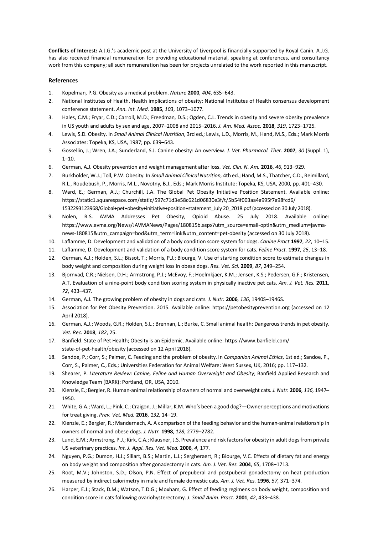**Conflicts of Interest:** A.J.G.'s academic post at the University of Liverpool is financially supported by Royal Canin. A.J.G. has also received financial remuneration for providing educational material, speaking at conferences, and consultancy work from this company; all such remuneration has been for projects unrelated to the work reported in this manuscript.

# **References**

- 1. Kopelman, P.G. Obesity as a medical problem. *Nature* **2000**, *404*, 635–643.
- 2. National Institutes of Health. Health implications of obesity: National Institutes of Health consensus development conference statement. *Ann. Int. Med.* **1985**, *103*, 1073–1077.
- 3. Hales, C.M.; Fryar, C.D.; Carroll, M.D.; Freedman, D.S.; Ogden, C.L. Trends in obesity and severe obesity prevalence in US youth and adults by sex and age, 2007–2008 and 2015–2016. *J. Am. Med. Assoc.* **2018**, *319*, 1723–1725.
- 4. Lewis, S.D. Obesity. In *Small Animal Clinical Nutrition*, 3rd ed.; Lewis, L.D., Morris, M., Hand, M.S., Eds.; Mark Morris Associates: Topeka, KS, USA, 1987; pp. 639–643.
- 5. Gossellin, J.; Wren, J.A.; Sunderland, S.J. Canine obesity: An overview. *J. Vet. Pharmacol. Ther.* **2007**, *30* (Suppl. 1),  $1 - 10$ .
- 6. German, A.J. Obesity prevention and weight management after loss. *Vet. Clin. N. Am.* **2016**, *46*, 913–929.
- 7. Burkholder, W.J.; Toll, P.W. Obesity. In *Small Animal Clinical Nutrition,* 4th ed.; Hand, M.S., Thatcher, C.D., Reimillard, R.L., Roudebush, P., Morris, M.L., Novotny, B.J., Eds.; Mark Morris Institute: Topeka, KS, USA, 2000, pp. 401–430.
- 8. Ward, E.; German, A.J.; Churchill, J.A. The Global Pet Obesity Initiative Position Statement. Available online: https://static1.squarespace.com/static/597c71d3e58c621d06830e3f/t/5b54f003aa4a995f7a98fcd6/ 1532293123968/Global+pet+obesity+initiative+position+statement\_July 20\_2018.pdf (accessed on 30 July 2018).
- 9. Nolen, R.S. AVMA Addresses Pet Obesity, Opioid Abuse. 25 July 2018. Available online: https://www.avma.org/News/JAVMANews/Pages/180815b.aspx?utm\_source=email-optin&utm\_medium=javmanews-180815&utm\_campaign=bod&utm\_term=link&utm\_content=pet-obesity (accessed on 30 July 2018).
- 10. Laflamme, D. Development and validation of a body condition score system for dogs. *Canine Pract* **1997**, *22*, 10–15.
- 11. Laflamme, D. Development and validation of a body condition score system for cats. *Feline Pract.* **1997**, *25*, 13–18.
- 12. German, A.J.; Holden, S.L.; Bissot, T.; Morris, P.J.; Biourge, V. Use of starting condition score to estimate changes in body weight and composition during weight loss in obese dogs. *Res. Vet. Sci.* **2009**, *87*, 249–254.
- 13. Bjornvad, C.R.; Nielsen, D.H.; Armstrong, P.J.; McEvoy, F.; Hoelmkjaer, K.M.; Jensen, K.S.; Pedersen, G.F.; Kristensen, A.T. Evaluation of a nine-point body condition scoring system in physically inactive pet cats. *Am. J. Vet. Res.* **2011**, *72*, 433–437.
- 14. German, A.J. The growing problem of obesity in dogs and cats. *J. Nutr.* **2006**, *136*, 1940S–1946S.
- 15. Association for Pet Obesity Prevention. 2015. Available online: https://petobesityprevention.org (accessed on 12 April 2018).
- 16. German, A.J.; Woods, G.R.; Holden, S.L.; Brennan, L.; Burke, C. Small animal health: Dangerous trends in pet obesity. *Vet. Rec.* **2018**, *182*, 25.
- 17. Banfield. State of Pet Health; Obesity is an Epidemic. Available online: https://www.banfield.com/ state-of-pet-health/obesity (accessed on 12 April 2018).
- 18. Sandoe, P.; Corr, S.; Palmer, C. Feeding and the problem of obesity. In *Companion Animal Ethics*, 1st ed.; Sandoe, P., Corr, S., Palmer, C., Eds.; Universities Federation for Animal Welfare: West Sussex, UK, 2016; pp. 117–132.
- 19. Shearer, P. *Literature Review: Canine, Feline and Human Overweight and Obesity*; Banfield Applied Research and Knowledge Team (BARK): Portland, OR, USA, 2010.
- 20. Kienzle, E.; Bergler, R. Human-animal relationship of owners of normal and overweight cats. *J. Nutr.* **2006**, *136*, 1947– 1950.
- 21. White, G.A.; Ward, L.; Pink, C.; Craigon, J.; Millar, K.M. Who's been a good dog?—Owner perceptions and motivations for treat giving. *Prev. Vet. Med.* **2016**, *132*, 14–19.
- 22. Kienzle, E.; Bergler, R.; Mandernach, A. A comparison of the feeding behavior and the human-animal relationship in owners of normal and obese dogs. *J. Nutr.* **1998**, *128*, 2779–2782.
- 23. Lund, E.M.; Armstrong, P.J.; Kirk, C.A.; Klausner, J.S. Prevalence and risk factors for obesity in adult dogs from private US veterinary practices. *Int. J. Appl. Res. Vet. Med.* **2006**, *4*, 177.
- 24. Nguyen, P.G.; Dumon, H.J.; Siliart, B.S.; Martin, L.J.; Sergheraert, R.; Biourge, V.C. Effects of dietary fat and energy on body weight and composition after gonadectomy in cats. *Am. J. Vet. Res.* **2004**, *65*, 1708–1713.
- 25. Root, M.V.; Johnston, S.D.; Olson, P.N. Effect of prepuberal and postpuberal gonadectomy on heat production measured by indirect calorimetry in male and female domestic cats*. Am. J. Vet. Res.* **1996**, *57*, 371–374.
- 26. Harper, E.J.; Stack, D.M.; Watson, T.D.G.; Moxham, G. Effect of feeding regimens on body weight, composition and condition score in cats following ovariohysterectomy. *J. Small Anim. Pract.* **2001**, *42*, 433–438.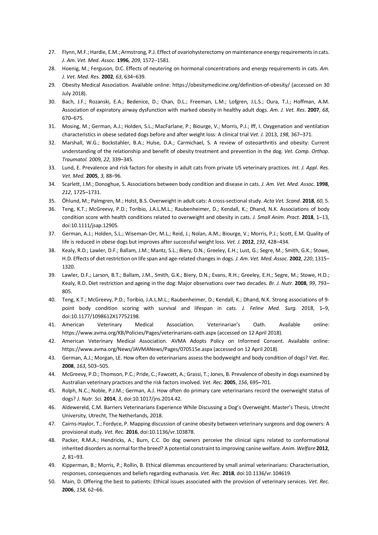- 27. Flynn, M.F.; Hardie, E.M.; Armstrong, P.J. Effect of ovariohysterectomy on maintenance energy requirements in cats. *J. Am. Vet. Med. Assoc.* **1996**, *209*, 1572–1581.
- 28. Hoenig, M.; Ferguson, D.C. Effects of neutering on hormonal concentrations and energy requirements in cats. *Am. J. Vet. Med. Res.* **2002**, *63*, 634–639.
- 29. Obesity Medical Association. Available online: https://obesitymedicine.org/definition-of-obesity/ (accessed on 30 July 2018).
- 30. Bach, J.F.; Rozanski, E.A.; Bedenice, D.; Chan, D.L.; Freeman, L.M.; Lofgren, J.L.S.; Oura, T.J.; Hoffman, A.M. Association of expiratory airway dysfunction with marked obesity in healthy adult dogs. *Am. J. Vet. Res.* **2007**, *68*, 670–675.
- 31. Mosing, M.; German, A.J.; Holden, S.L.; MacFarlane, P.; Biourge, V.; Morris, P.J.; Iff, I. Oxygenation and ventilation characteristics in obese sedated dogs before and after weight loss: A clinical trial *Vet. J.* 2013, *198*, 367–371.
- 32. Marshall, W.G.; Bockstahler, B.A.; Hulse, D.A.; Carmichael, S. A review of osteoarthritis and obesity: Current understanding of the relationship and benefit of obesity treatment and prevention in the dog. *Vet. Comp. Orthop. Traumatol.* 2009, *22*, 339–345.
- 33. Lund, E. Prevalence and risk factors for obesity in adult cats from private US veterinary practices. *Int. J. Appl. Res. Vet. Med.* **2005**, *3*, 88–96.
- 34. Scarlett, J.M.; Donoghue, S. Associations between body condition and disease in cats. *J. Am. Vet. Med. Assoc.* **1998**, *212*, 1725–1731.
- 35. Öhlund, M.; Palmgren, M.; Holst, B.S. Overweight in adult cats: A cross-sectional study. *Acta Vet. Scand.* **2018**, *60*, 5.
- 36. Teng, K.T.; McGreevy, P.D.; Toribio, J.A.L.M.L.; Raubenheimer, D.; Kendall, K.; Dhand, N.K. Associations of body condition score with health conditions related to overweight and obesity in cats. *J. Small Anim. Pract.* **2018**, 1–13, doi:10.1111/jsap.12905.
- 37. German, A.J.; Holden, S.L.; Wiseman-Orr, M.L.; Reid, J.; Nolan, A.M.; Biourge, V.; Morris, P.J.; Scott, E.M. Quality of life is reduced in obese dogs but improves after successful weight loss. *Vet. J.* **2012**, *192*, 428–434.
- 38. Kealy, R.D.; Lawler, D.F.; Ballam, J.M.; Mantz, S.L.; Biery, D.N.; Greeley, E.H.; Lust, G.; Segre, M.; Smith, G.K.; Stowe, H.D. Effects of diet restriction on life span and age-related changes in dogs. *J. Am. Vet. Med. Assoc.* **2002**, *220*, 1315– 1320.
- 39. Lawler, D.F.; Larson, B.T.; Ballam, J.M., Smith, G.K.; Biery, D.N.; Evans, R.H.; Greeley, E.H.; Segre, M.; Stowe, H.D.; Kealy, R.D. Diet restriction and ageing in the dog: Major observations over two decades. *Br. J. Nutr.* **2008**, *99*, 793– 805.
- 40. Teng, K.T.; McGreevy, P.D.; Toribio, J.A.L.M.L.; Raubenheimer, D.; Kendall, K.; Dhand, N.K. Strong associations of 9 point body condition scoring with survival and lifespan in cats. *J. Feline Med. Surg.* 2018, 1–9, doi:10.1177/1098612X17752198.
- 41. American Veterinary Medical Association. Veterinarian's Oath. Available online: https://www.avma.org/KB/Policies/Pages/veterinarians-oath.aspx (accessed on 12 April 2018).
- 42. American Veterinary Medical Association. AVMA Adopts Policy on Informed Consent. Available online: https://www.avma.org/News/JAVMANews/Pages/070515e.aspx (accessed on 12 April 2018).
- 43. German, A.J.; Morgan, LE. How often do veterinarians assess the bodyweight and body condition of dogs? *Vet. Rec.* **2008**, *163*, 503–505.
- 44. McGreevy, P.D.; Thomson, P.C.; Pride, C.; Fawcett, A.; Grassi, T.; Jones, B. Prevalence of obesity in dogs examined by Australian veterinary practices and the risk factors involved. *Vet. Rec.* **2005**, *156*, 695–701.
- 45. Rolph, N.C.; Noble, P.J.M.; German, A.J. How often do primary care veterinarians record the overweight status of dogs? *J. Nutr. Sci.* **2014**, *3*, doi:10.1017/jns.2014.42.
- 46. Aldewereld, C.M. Barriers Veterinarians Experience While Discussing a Dog's Overweight. Master's Thesis, Utrecht University, Utrecht, The Netherlands, 2018.
- 47. Cairns-Haylor, T.; Fordyce, P. Mapping discussion of canine obesity between veterinary surgeons and dog owners: A provisional study. *Vet. Rec.* **2016**, doi:10.1136/vr.103878.
- 48. Packer, R.M.A.; Hendricks, A.; Burn, C.C. Do dog owners perceive the clinical signs related to conformational inherited disorders as normal for the breed? A potential constraint to improving canine welfare. *Anim. Welfare* **2012**, *2*, 81–93.
- 49. Kipperman, B.; Morris, P.; Rollin, B. Ethical dilemmas encountered by small animal veterinarians: Characterisation, responses, consequences and beliefs regarding euthanasia. *Vet. Rec.* **2018**, doi:10.1136/vr.104619.
- 50. Main, D. Offering the best to patients: Ethical issues associated with the provision of veterinary services. *Vet. Rec.*  **2006**, *158*, 62–66.